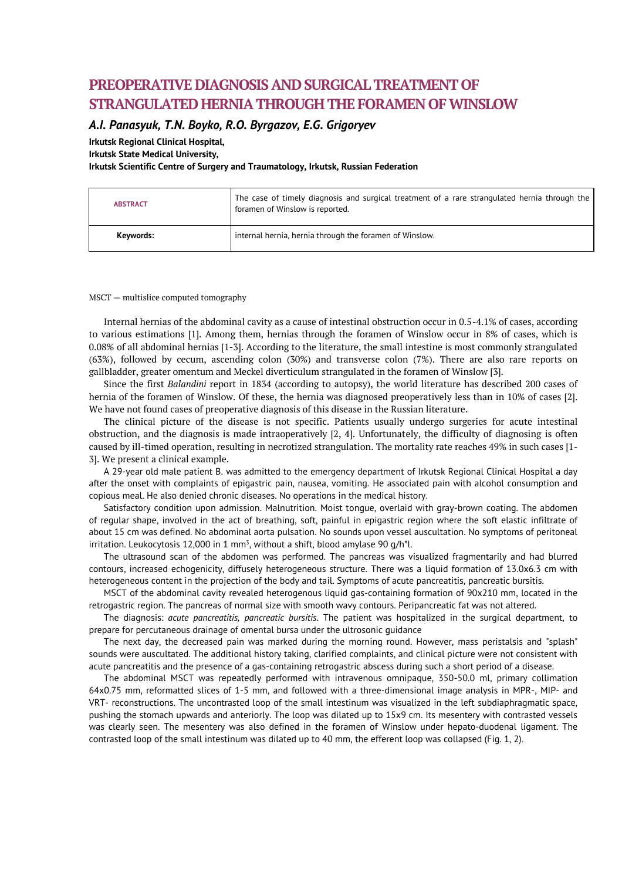# **PREOPERATIVE DIAGNOSIS AND SURGICAL TREATMENT OF STRANGULATED HERNIA THROUGH THE FORAMEN OF WINSLOW**

## *A.I. Panasyuk, T.N. Boyko, R.O. Byrgazov, E.G. Grigoryev*

**Irkutsk Regional Clinical Hospital, Irkutsk State Medical University,** 

**Irkutsk Scientific Centre of Surgery and Traumatology, Irkutsk, Russian Federation**

| <b>ABSTRACT</b> | The case of timely diagnosis and surgical treatment of a rare strangulated hernia through the<br>foramen of Winslow is reported. |
|-----------------|----------------------------------------------------------------------------------------------------------------------------------|
| Keywords:       | internal hernia, hernia through the foramen of Winslow.                                                                          |

## MSCT — multislice computed tomography

Internal hernias of the abdominal cavity as a cause of intestinal obstruction occur in 0.5-4.1% of cases, according to various estimations [1]. Among them, hernias through the foramen of Winslow occur in 8% of cases, which is 0.08% of all abdominal hernias [1-3]. According to the literature, the small intestine is most commonly strangulated (63%), followed by cecum, ascending colon (30%) and transverse colon (7%). There are also rare reports on gallbladder, greater omentum and Meckel diverticulum strangulated in the foramen of Winslow [3].

Since the first *Balandini* report in 1834 (according to autopsy), the world literature has described 200 cases of hernia of the foramen of Winslow. Of these, the hernia was diagnosed preoperatively less than in 10% of cases [2]. We have not found cases of preoperative diagnosis of this disease in the Russian literature.

The clinical picture of the disease is not specific. Patients usually undergo surgeries for acute intestinal obstruction, and the diagnosis is made intraoperatively [2, 4]. Unfortunately, the difficulty of diagnosing is often caused by ill-timed operation, resulting in necrotized strangulation. The mortality rate reaches 49% in such cases [1- 3]. We present a clinical example.

A 29-year old male patient B. was admitted to the emergency department of Irkutsk Regional Clinical Hospital a day after the onset with complaints of epigastric pain, nausea, vomiting. He associated pain with alcohol consumption and copious meal. He also denied chronic diseases. No operations in the medical history.

Satisfactory condition upon admission. Malnutrition. Moist tongue, overlaid with gray-brown coating. The abdomen of regular shape, involved in the act of breathing, soft, painful in epigastric region where the soft elastic infiltrate of about 15 cm was defined. No abdominal aorta pulsation. No sounds upon vessel auscultation. No symptoms of peritoneal irritation. Leukocytosis 12,000 in 1 mm<sup>3</sup>, without a shift, blood amylase 90  $g/h^*l$ .

The ultrasound scan of the abdomen was performed. The pancreas was visualized fragmentarily and had blurred contours, increased echogenicity, diffusely heterogeneous structure. There was a liquid formation of 13.0x6.3 cm with heterogeneous content in the projection of the body and tail. Symptoms of acute pancreatitis, pancreatic bursitis.

MSCT of the abdominal cavity revealed heterogenous liquid gas-containing formation of 90x210 mm, located in the retrogastric region. The pancreas of normal size with smooth wavy contours. Peripancreatic fat was not altered.

The diagnosis: *acute pancreatitis, pancreatic bursitis*. The patient was hospitalized in the surgical department, to prepare for percutaneous drainage of omental bursa under the ultrosonic guidance

The next day, the decreased pain was marked during the morning round. However, mass peristalsis and "splash" sounds were auscultated. The additional history taking, clarified complaints, and clinical picture were not consistent with acute pancreatitis and the presence of a gas-containing retrogastric abscess during such a short period of a disease.

The abdominal MSCT was repeatedly performed with intravenous omnipaque, 350-50.0 ml, primary collimation 64x0.75 mm, reformatted slices of 1-5 mm, and followed with a three-dimensional image analysis in MPR-, MIP- and VRT- reconstructions. The uncontrasted loop of the small intestinum was visualized in the left subdiaphragmatic space, pushing the stomach upwards and anteriorly. The loop was dilated up to 15x9 cm. Its mesentery with contrasted vessels was clearly seen. The mesentery was also defined in the foramen of Winslow under hepato-duodenal ligament. The contrasted loop of the small intestinum was dilated up to 40 mm, the efferent loop was collapsed (Fig. 1, 2).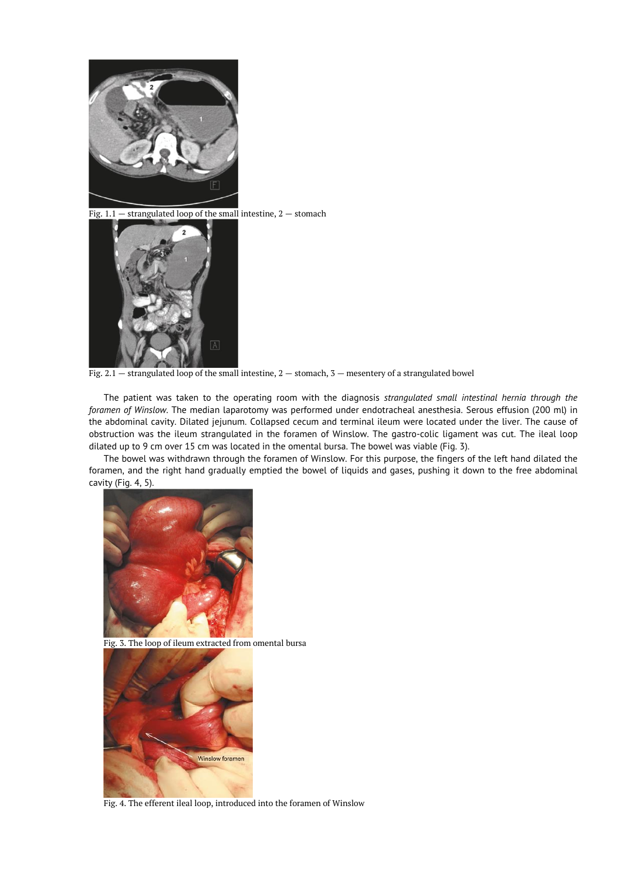

Fig.  $1.1$  – strangulated loop of the small intestine,  $2$  – stomach



Fig. 2.1 — strangulated loop of the small intestine, 2 — stomach, 3 — mesentery of a strangulated bowel

The patient was taken to the operating room with the diagnosis *strangulated small intestinal hernia through the foramen of Winslow*. The median laparotomy was performed under endotracheal anesthesia. Serous effusion (200 ml) in the abdominal cavity. Dilated jejunum. Collapsed cecum and terminal ileum were located under the liver. The cause of obstruction was the ileum strangulated in the foramen of Winslow. The gastro-colic ligament was cut. The ileal loop dilated up to 9 cm over 15 cm was located in the omental bursa. The bowel was viable (Fig. 3).

The bowel was withdrawn through the foramen of Winslow. For this purpose, the fingers of the left hand dilated the foramen, and the right hand gradually emptied the bowel of liquids and gases, pushing it down to the free abdominal cavity (Fig. 4, 5).



Fig. 3. The loop of ileum extracted from omental bursa



Fig. 4. The efferent ileal loop, introduced into the foramen of Winslow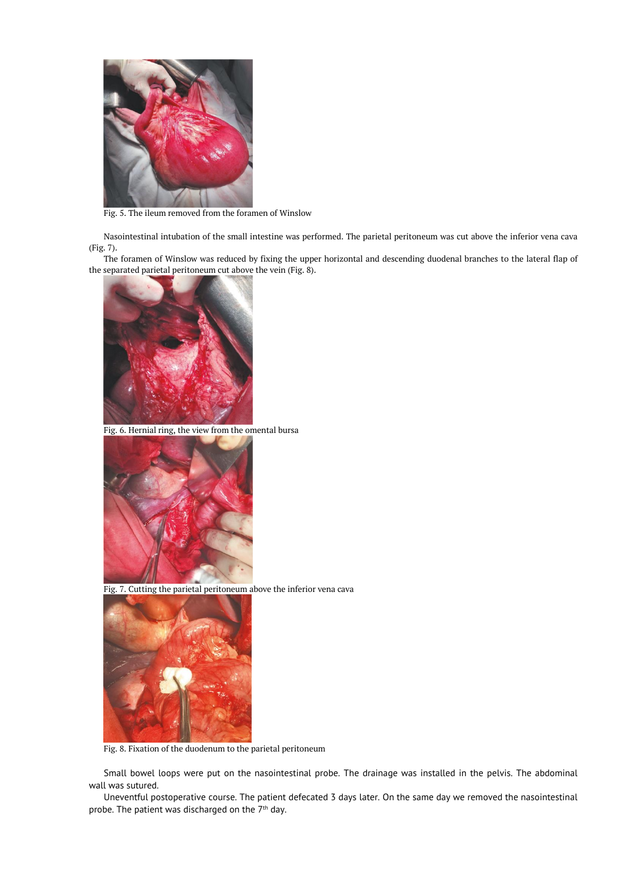

Fig. 5. The ileum removed from the foramen of Winslow

Nasointestinal intubation of the small intestine was performed. The parietal peritoneum was cut above the inferior vena cava (Fig. 7).

The foramen of Winslow was reduced by fixing the upper horizontal and descending duodenal branches to the lateral flap of the separated parietal peritoneum cut above the vein (Fig. 8).



Fig. 6. Hernial ring, the view from the omental bursa



Fig. 7. Cutting the parietal peritoneum above the inferior vena cava



Fig. 8. Fixation of the duodenum to the parietal peritoneum

Small bowel loops were put on the nasointestinal probe. The drainage was installed in the pelvis. The abdominal wall was sutured.

Uneventful postoperative course. The patient defecated 3 days later. On the same day we removed the nasointestinal probe. The patient was discharged on the  $7<sup>th</sup>$  day.